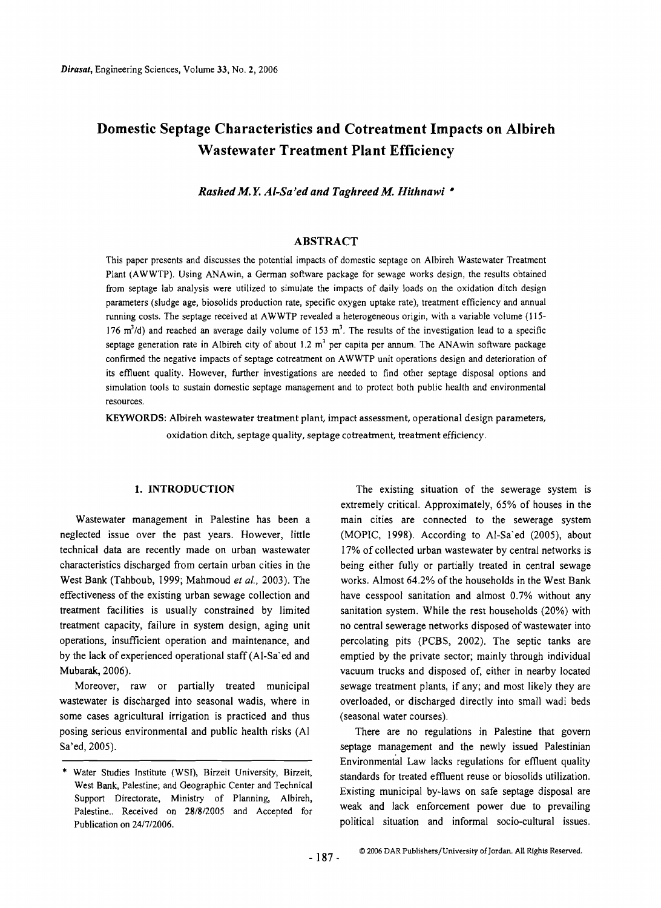# **Domestic Septage Characteristics and Cotreatment Impacts on Albireh Wastewater Treatment Plant Efficiency**

*Rashed M. Y. A/-Sa'ed and Taghreed* M. *Hithnawi* '\*

#### ABSTRACT

This paper presents and discusses the potential impacts of domestic septage on Albireh Wastewater Treatment Plant (AWWTP). Using ANAwin, a German software package for sewage works design, the results obtained from septage lab analysis were utilized to simulate the impacts of daily loads on the oxidation ditch design parameters (sludge age, biosolids production rate, specific oxygen uptake rate), treatment efficiency and annual running costs. The septage received at AWWTP revealed a heterogeneous origin, with a variable volume (115 176 m<sup>3</sup>/d) and reached an average daily volume of 153 m<sup>3</sup>. The results of the investigation lead to a specific septage generation rate in Albireh city of about 1.2  $m<sup>3</sup>$  per capita per annum. The ANAwin software package confirmed the negative impacts of septage cotreatment on AWWTP unit operations design and deterioration of its eflluent quality. However, further investigations are needed to find other septage disposal options and simulation tools to sustain domestic septage management and to protect both public health and environmental resources.

KEYWORDS: Albireh wastewater treatment plant, impact assessment, operational design parameters, oxidation ditch, septage quality, septage cotreatment, treatment efficiency.

neglected issue over the past years. However, little (MOPIC, 1998). According to Al-Sa'ed (2005), about technical data are recently made on urban wastewater 17% of collected urban wastewater by central networks is characteristics discharged from certain urban cities in the being either fully or partially treated in central sewage West Bank (Tahboub, 1999; Mahmoud *et al.,* 2003). The works. Almost 64.2% of the households in the West Bank effectiveness of the existing urban sewage collection and have cesspool sanitation and almost 0.7% without any treatment facilities is usually constrained by limited sanitation system. While the rest households (20%) with treatment capacity, failure in system design, aging unit no central sewerage networks disposed of wastewater into operations, insufficient operation and maintenance, and percolating pits (PCBS, 2002). The septic tanks are by the lack of experienced operational staff (AI-Sa' ed and emptied by the private sector; mainly through individual Mubarak, 2006). vacuum trucks and disposed of, either in nearby located

wastewater is discharged into seasonal wadis, where in overloaded, or discharged directly into small wadi beds some cases agricultural irrigation is practiced and thus (seasonal water courses). posing serious environmental and public health risks (AI There are no regulations in Palestine that govern Sa'ed, 2005). Sa'ed, 2005).

1. **INTRODUCTION** The existing situation of the sewerage system is extremely critical. Approximately, 65% of houses in the Wastewater management in Palestine has been a main cities are connected to the sewerage system Moreover, raw or partially treated municipal sewage treatment plants, if any; and most likely they are

Environmental Law lacks regulations for effluent quality \* Water Studies Institute (WSI), Birzeit University, Birzeit, standards for treated effluent reuse or biosolids utilization.<br>West Bank, Palestine; and Geographic Center and Technical Support Directorate, Ministry of Planning, Albireh,<br>Palestine... Received on 28/8/2005 and Accepted for weak and lack enforcement power due to prevailing political situation and informal socio-cultural issues. Publicationon 24/7/2006.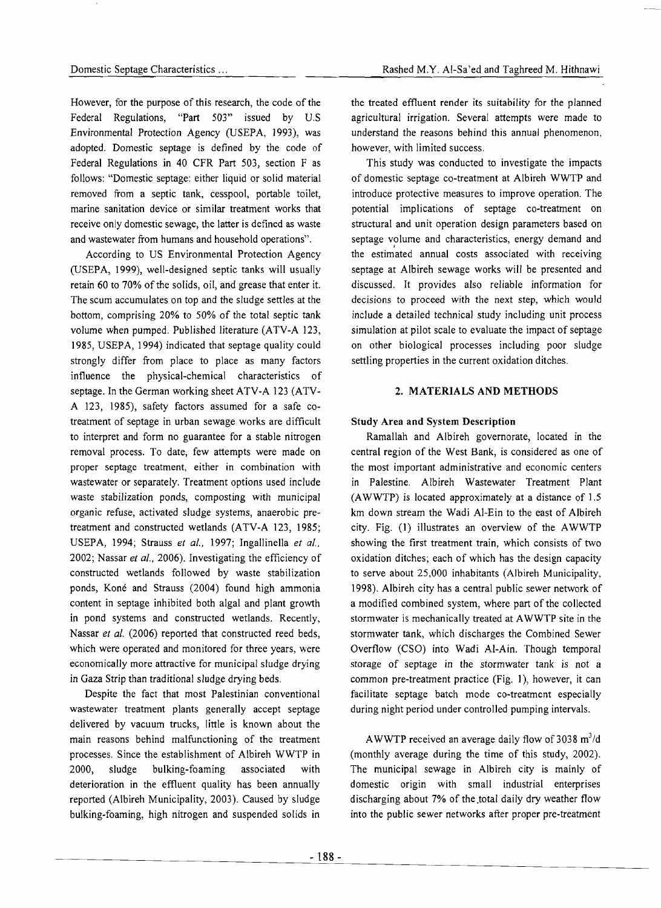However, for the purpose of this research, the code of the Federal Regulations, "Part 503" issued by U.S Environmental Protection Agency (USEPA, 1993), was adopted. Domestic septage is defined by the code of Federal Regulations in 40 CFR Part 503, section F as follows: "Domestic septage: either liquid or solid material removed from a septic tank, cesspool, portable toilet, marine sanitation device or similar treatment works that receive only domestic sewage, the latter is defined as waste and wastewater from humans and household operations".

According to US Environmental Protection Agency (USEPA, 1999), well-designed septic tanks will usually retain 60 to 70% of the solids, oil, and grease that enter it. The scum accumulates on top and the sludge settles at the bottom, comprising 20% to 50% of the total septic tank volume when pumped. Published literature (ATV-A 123, 1985, USEPA, 1994) indicated that septage quality could strongly differ from place to place as many factors influence the physical-chemical characteristics of septage. In the German working sheet ATV-A 123 (ATV-A 123, 1985), safety factors assumed for a safe cotreatment of septage in urban sewage works are difficult to interpret and form no guarantee for a stable nitrogen removal process. To date, few attempts were made on proper septage treatment, either in combination with wastewater or separately. Treatment options used include waste stabilization ponds, composting with municipal organic refuse, activated sludge systems, anaerobic pretreatment and constructed wetlands (ATV-A 123, 1985; USEPA, 1994; Strauss *et al.,* 1997; Ingallinella *et al.,*  2002; Nassar *et al.,* 2006). Investigating the efficiency of constructed wetlands followed by waste stabilization ponds, Koné and Strauss (2004) found high ammonia content in septage inhibited both algal and plant growth in pond systems and constructed wetlands. Recently, Nassar *et al.* (2006) reported that constructed reed beds, which were operated and monitored for three years, were economically more attractive for municipal sludge drying in Gaza Strip than traditional sludge drying beds.

Despite the fact that most Palestinian conventional wastewater treatment plants generally accept septage delivered by vacuum trucks, little is known about the main reasons behind malfunctioning of the treatment processes. Since the establishment of Albireh WWTP in 2000, sludge bulking-foaming associated with deterioration in the effluent quality has been annually reported (Albireh Municipality, 2003). Caused by sludge bulking-foaming, high nitrogen and suspended solids in

the treated effluent render its suitability for the planned agricultural irrigation. Several attempts were made to understand the reasons behind this annual phenomenon, however, with limited success.

This study was conducted to investigate the impacts of domestic septage co-treatment at Albireh WWTP and introduce protective measures to improve operation. The potential implications of septage co-treatment on structural and unit operation design parameters based on septage volume and characteristics, energy demand and the estimated annual costs associated with receiving septage at Albireh sewage works will be presented and discussed. It provides also reliable information for decisions to proceed with the next step, which would include a detailed technical study including unit process simulation at pilot scale to evaluate the impact of septage on other biological processes including poor sludge settling properties in the current oxidation ditches.

### 2. MATERIALS AND METHODS

#### Study Area and System Description

Ramallah and Albireh governorate, located in the central region of the West Bank, is considered as one of the most important administrative and economic centers in Palestine. Albireh Wastewater Treatment Plant (AWWTP) is located approximately at a distance of 1.5 km down stream the Wadi Al-Ein to the east of Albireh city. Fig. (1) illustrates an overview of the AWWTP showing the first treatment train, which consists of two oxidation ditches; each of which has the design capacity to serve about 25,000 inhabitants (Albireh Municipality, 1998). Albireh city has a central public sewer network of a modified combined system, where part of the collected stormwater is mechanically treated at AWWTP site in the stormwater tank, which discharges the Combined Sewer Overflow (CSO) into Wadi AI-Ain. Though temporal storage of septage in the storm water tank is not a common pre-treatment practice (Fig. 1), however, it can facilitate septage batch mode co-treatment especially during night period under controlled pumping intervals.

AWWTP received an average daily flow of 3038 *m3 /d*  (monthly average during the time of this study, 2002). The municipal sewage in Albireh city is mainly of domestic origin with small industrial enterprises discharging about 7% of the .total daily dry weather flow into the public sewer networks after proper pre-treatment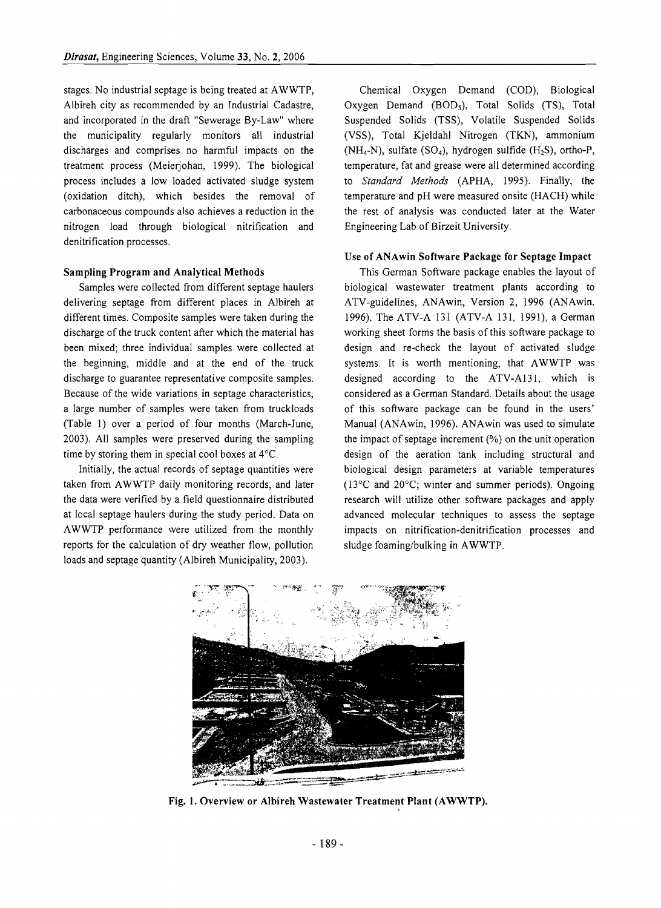stages. No industrial septage is being treated at AWWTP, Albireh city as recommended by an Industrial Cadastre, and incorporated in the draft "Sewerage By-Law" where the municipality regularly monitors all industrial discharges and comprises no harmful impacts on the treatment process (Meierjohan, 1999). The biological process includes a low loaded activated sludge system (oxidation ditch), which besides the removal of carbonaceous compounds also achieves a reduction in the nitrogen load through biological nitrification and denitrification processes.

#### Sampling Program and Analytical Methods

Samples were collected from different septage haulers delivering septage from different places in Albireh at different times. Composite samples were taken during the discharge of the truck content after which the material has been mixed; three individual samples were collected at the beginning, middle and at the end of the truck discharge to guarantee representative composite samples. Because of the wide variations in septage characteristics, a large number of samples were taken from truckloads (Table 1) over a period of four months (March-June, 2003). All samples were preserved during the sampling time by storing them in special cool boxes at 4°C.

Initially, the actual records of septage quantities were taken from AWWTP daily monitoring records, and later the data were verified by a field questionnaire distributed at local septage haulers during the study period. Data on AWWTP performance were utilized from the monthly reports for the calculation of dry weather flow, pollution loads and septage quantity (Albireh Municipality, 2003).

Chemical Oxygen Demand (COD), Biological Oxygen Demand (BOD<sub>5</sub>), Total Solids (TS), Total Suspended Solids (TSS), Volatile Suspended Solids (VSS), Total Kjeldahl Nitrogen (TKN), ammonium (NH<sub>4</sub>-N), sulfate (SO<sub>4</sub>), hydrogen sulfide (H<sub>2</sub>S), ortho-P, temperature, fat and grease were all determined according to *Standard Methods* (APHA, 1995). Finally, the temperature and pH were measured onsite (HACH) while the rest of analysis was conducted later at the Water Engineering Lab of Birzeit University.

#### Use of ANAwin Software Package for Septage Impact

This German Software package enables the layout of biological wastewater treatment plants according to ATV-guidelines, ANAwin, Version 2, 1996 (ANAwin, 1996). The ATV-A 131 (ATV-A 131, 1991), a German working sheet forms the basis of this software package to design and re-check the layout of activated sludge systems. It is worth mentioning, that AWWTP was designed according to the ATV-A131, which is considered as a German Standard. Details about the usage of this software package can be found in the users' Manual (ANAwin, 1996). ANAwin was used to simulate the impact of septage increment (%) on the unit operation design of the aeration tank including structural and biological design parameters at variable temperatures (13°C and 20°C; winter and summer periods). Ongoing research will utilize other software packages and apply advanced molecular techniques to assess the septage impacts on nitrification-denitrification processes and sludge foaming/bulking in AWWTP.



Fig. 1. Overview or Albireh Wastewater Treatment Plant (AWWTP).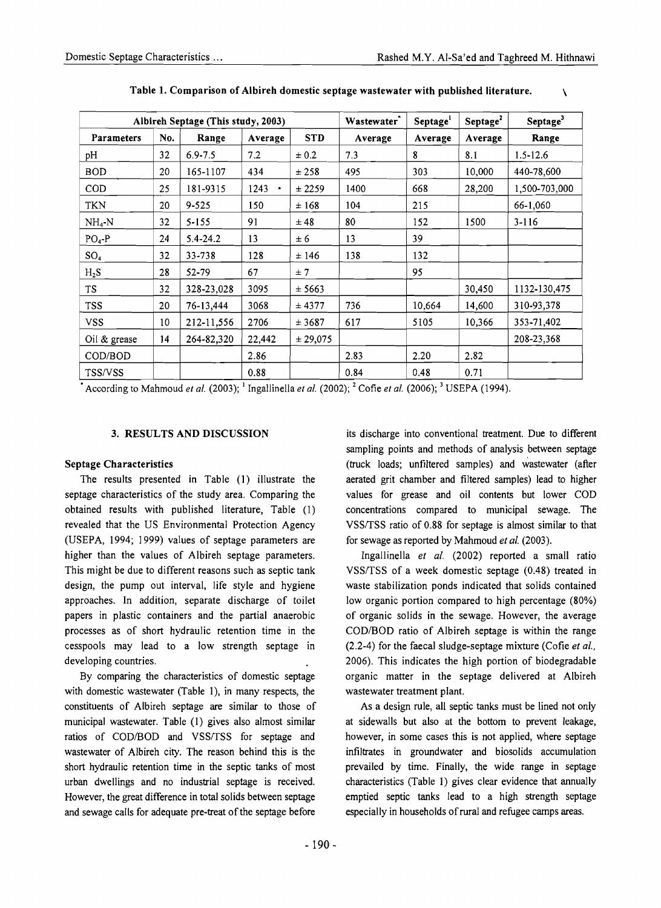| Albireh Septage (This study, 2003) |     |              |                        |            | Wastewater <sup>1</sup> | Septage <sup>1</sup> | Septage <sup>2</sup> | Septage <sup>3</sup> |
|------------------------------------|-----|--------------|------------------------|------------|-------------------------|----------------------|----------------------|----------------------|
| <b>Parameters</b>                  | No. | Range        | Average                | <b>STD</b> | Average                 | Average              | Average              | Range                |
| pH                                 | 32  | $6.9 - 7.5$  | 7.2                    | ± 0.2      | 7.3                     | 8                    | 8.1                  | $1.5 - 12.6$         |
| <b>BOD</b>                         | 20  | 165-1107     | 434                    | ± 258      | 495                     | 303                  | 10,000               | 440-78,600           |
| COD                                | 25  | 181-9315     | 1243<br>$\blacksquare$ | ± 2259     | 1400                    | 668                  | 28,200               | 1,500-703,000        |
| <b>TKN</b>                         | 20  | $9 - 525$    | 150                    | ±168       | 104                     | 215                  |                      | 66-1.060             |
| $NH4-N$                            | 32  | $5 - 155$    | 91                     | ±48        | 80                      | 152                  | 1500                 | $3 - 116$            |
| $PO4-P$                            | 24  | $5.4 - 24.2$ | 13                     | ± 6        | 13                      | 39                   |                      |                      |
| SO <sub>4</sub>                    | 32  | 33-738       | 128                    | ± 146      | 138                     | 132                  |                      |                      |
| $H_2S$                             | 28  | 52-79        | 67                     | ± 7        |                         | 95                   |                      |                      |
| <b>TS</b>                          | 32  | 328-23,028   | 3095                   | ± 5663     |                         |                      | 30,450               | 1132-130,475         |
| <b>TSS</b>                         | 20  | 76-13,444    | 3068                   | ± 4377     | 736                     | 10,664               | 14,600               | 310-93,378           |
| <b>VSS</b>                         | 10  | 212-11,556   | 2706                   | ± 3687     | 617                     | 5105                 | 10,366               | 353-71,402           |
| Oil & grease                       | 14  | 264-82,320   | 22,442                 | ± 29,075   |                         |                      |                      | 208-23,368           |
| COD/BOD                            |     |              | 2.86                   |            | 2.83                    | 2.20                 | 2.82                 |                      |
| <b>TSS/VSS</b>                     |     |              | 0.88                   |            | 0.84                    | 0.48                 | 0.71                 |                      |

Table 1. Comparison of Albireh domestic septage wastewater with published literature.

According to Mahmoud *et al.*  $(2003)$ ; <sup>1</sup> Ingallinella *et al.*  $(2002)$ ; <sup>2</sup> Cofie *et al.*  $(2006)$ ; <sup>3</sup> USEPA (1994).

#### 3. RESULTS AND DISCUSSION

#### Septage Characteristics

The results presented in Table (l) illustrate the septage characteristics of the study area. Comparing the obtained results with published literature, Table (1) revealed that the US Environmental Protection Agency (USEPA, 1994; 1999) values of septage parameters are higher than the values of Albireh septage parameters. This might be due to different reasons such as septic tank design, the pump out interval, life style and hygiene approaches. In addition, separate discharge of toilet papers in plastic containers and the partial anaerobic processes as of short hydraulic retention time in the cesspools may lead to a low strength septage in developing countries.

By comparing the characteristics of domestic septage with domestic wastewater (Table 1), in many respects, the constituents of Albireh septage are similar to those of municipal wastewater. Table (1) gives also almost similar ratios of COD/BOD and VSS/TSS for septage and wastewater of Albireh city. The reason behind this is the short hydraulic retention time in the septic tanks of most urban dwellings and no industrial septage is received. However, the great difference in total solids between septage and sewage calls for adequate pre-treat of the septage before its discharge into conventional treatment. Due to different sampling points and methods of analysis between septage (truck loads; unfiltered samples) and wastewater (after aerated grit chamber and filtered samples) lead to higher values for grease and oil contents but lower COD concentrations compared to municipal sewage. The VSSITSS ratio of 0.88 for septage is almost similar to that for sewage as reported by Mahmoud *et al. (2003).* 

Ingallinella *et al.* (2002) reported a small ratio VSSITSS of a week domestic septage (0.48) treated in waste stabilization ponds indicated that solids contained low organic portion compared to high percentage (80%) of organic solids in the sewage. However, the average COD/BOD ratio of Albireh septage is within the range (2.2-4) for the faecal sludge-septage mixture (Cofie *et al.,*  2006). This indicates the high portion of biodegradable organic matter in the septage delivered at Albireh wastewater treatment plant.

As a design rule, all septic tanks must be lined not only at sidewalls but also at the bottom to prevent leakage, however, in some cases this is not applied, where septage infiltrates in groundwater and biosolids accumulation prevailed by time. Finally, the wide range in septage characteristics (Table 1) gives clear evidence that annually emptied septic tanks lead to a high strength septage especially in households of rural and refugee camps areas.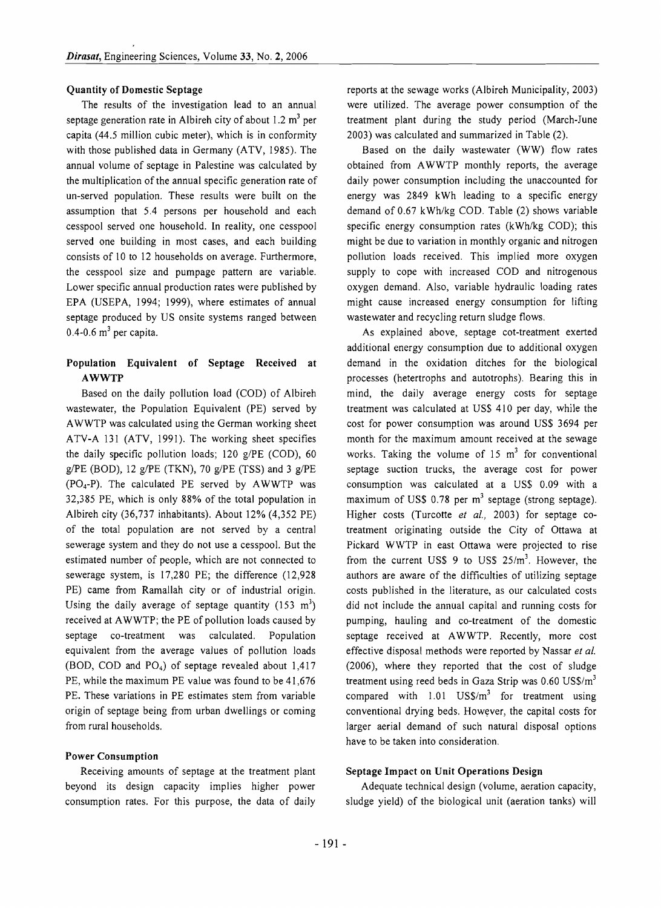#### Quantity of Domestic Septage

The results of the investigation lead to an annual septage generation rate in Albireh city of about 1.2  $m<sup>3</sup>$  per capita (44.5 million cubic meter), which is in conformity with those published data in Germany (ATV, 1985). The annual volume of septage in Palestine was calculated by the multiplication of the annual specific generation rate of un-served population. These results were built on the assumption that 5.4 persons per household and each cesspool served one household. In reality, one cesspool served one building in most cases, and each building consists of 10 to 12 households on average. Furthermore, the cesspool size and pumpage pattern are variable. Lower specific annual production rates were published by EPA (USEPA, 1994; 1999), where estimates of annual septage produced by US onsite systems ranged between  $0.4$ -0.6 m<sup>3</sup> per capita.

## Population Equivalent of Septage Received at AWWTP

Based on the daily pollution load (COD) of Albireh wastewater, the Population Equivalent (PE) served by AWWTP was calculated using the German working sheet ATV-A 131 (ATV, 1991). The working sheet specifies the daily specific pollution loads; 120 g/PE (COD), 60 g/PE (BOD), 12 g/PE (TKN), 70 g/PE (TSS) and 3 g/PE  $(PO<sub>4</sub>-P)$ . The calculated PE served by AWWTP was 32,385 PE, which is only 88% of the total population in Albireh city (36,737 inhabitants). About 12% (4,352 PE) of the total population are not served by a central sewerage system and they do not use a cesspool. But the estimated number of people, which are not connected to sewerage system, is 17,280 PE; the difference (12,928 PE) came from Ramallah city or of industrial origin. Using the daily average of septage quantity  $(153 \text{ m}^3)$ received at AWWTP; the PE of pollution loads caused by septage co-treatment was calculated. Population equivalent from the average values of pollution loads (BOD, COD and P04) of septage revealed about 1,417 PE, while the maximum PE value was found to be 41,676 PE. These variations in PE estimates stem from variable origin of septage being from urban dwellings or coming from rural households.

#### Power Consumption

Receiving amounts of septage at the treatment plant beyond its design capacity implies higher power consumption rates. For this purpose, the data of daily

reports at the sewage works (Albireh Municipality, 2003) were utilized. The average power consumption of the treatment plant during the study period (March-June 2003) was calculated and summarized in Table (2).

Based on the daily wastewater (WW) flow rates obtained from AWWTP monthly reports, the average daily power consumption including the unaccounted for energy was 2849 kWh leading to a specific energy demand of 0.67 kWh/kg COD. Table (2) shows variable specific energy consumption rates (kWh/kg COD); this might be due to variation in monthly organic and nitrogen pollution loads received. This implied more oxygen supply to cope with increased COD and nitrogenous oxygen demand. Also, variable hydraulic loading rates might cause increased energy consumption for lifting wastewater and recycling return sludge flows.

As explained above, septage cot-treatment exerted additional energy consumption due to additional oxygen demand in the oxidation ditches for the biological processes (hetertrophs and autotrophs). Bearing this in mind, the daily average energy costs for septage treatment was calculated at US\$ 410 per day, while the cost for power consumption was around US\$ 3694 per month for the maximum amount received at the sewage works. Taking the volume of  $15 \text{ m}^3$  for conventional septage suction trucks, the average cost for power consumption was calculated at a US\$ 0.09 with a maximum of US\$ 0.78 per  $m<sup>3</sup>$  septage (strong septage). Higher costs (Turcotte *et al.,* 2003) for septage cotreatment originating outside the City of Ottawa at Pickard WWTP in east Ottawa were projected to rise from the current US\$ 9 to US\$  $25/m<sup>3</sup>$ . However, the authors are aware of the difficulties of utilizing septage costs published in the literature, as our calculated costs did not include the annual capital and running costs for pumping, hauling and co-treatment of the domestic septage received at AWWTP. Recently, more cost effective disposal methods were reported by Nassar *et al.*  (2006), where they reported that the cost of sludge treatment using reed beds in Gaza Strip was  $0.60$  US\$/ $m<sup>3</sup>$ compared with  $1.01$  US\$/ $m<sup>3</sup>$  for treatment using conventional drying beds. However, the capital costs for larger aerial demand of such natural disposal options have to be taken into consideration.

#### Septage Impact on Unit Operations Design

Adequate technical design (volume, aeration capacity, sludge yield) of the biological unit (aeration tanks) will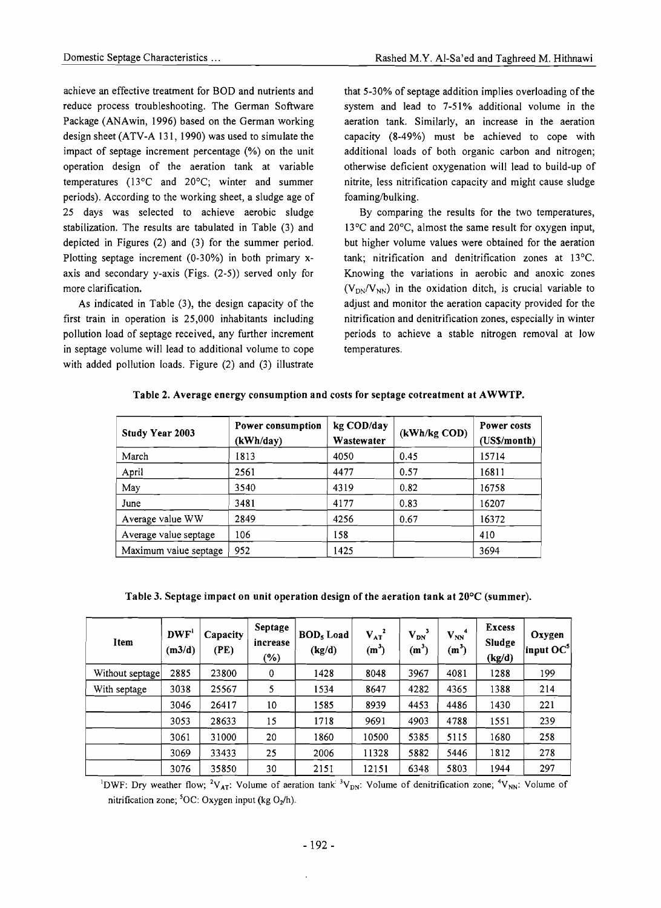achieve an effective treatment for BOD and nutrients and reduce process troubleshooting. The German Software Package (ANAwin, 1996) based on the German working design sheet (ATV-A 131, 1990) was used to simulate the impact of septage increment percentage (%) on the unit operation design of the aeration tank at variable temperatures (13°C and 20°C; winter and summer periods). According to the working sheet, a sludge age of 25 days was selected to achieve aerobic sludge stabilization. The results are tabulated in Table (3) and depicted in Figures (2) and (3) for the summer period. Plotting septage increment (0-30%) in both primary xaxis and secondary y-axis (Figs. (2-5)) served only for more clarification.

As indicated in Table (3), the design capacity of the first train in operation is 25,000 inhabitants including pollution load of septage received, any further increment in septage volume will lead to additional volume to cope with added pollution loads. Figure (2) and (3) illustrate

that 5-30% of septage addition implies overloading of the system and lead to 7-51% additional volume in the aeration tank. Similarly, an increase in the aeration capacity (8-49%) must be achieved to cope with additional loads of both organic carbon and nitrogen; otherwise deficient oxygenation will lead to build-up of nitrite, less nitrification capacity and might cause sludge foaming/bulking.

By comparing the results for the two temperatures, 13°C and 20°C, almost the same result for oxygen input, but higher volume values were obtained for the aeration tank; nitrification and denitrification zones at 13"C. Knowing the variations in aerobic and anoxic zones  $(V<sub>DN</sub>/V<sub>NN</sub>)$  in the oxidation ditch, is crucial variable to adjust and monitor the aeration capacity provided for the nitrification and denitrification zones, especially in winter periods to achieve a stable nitrogen removal at low temperatures.

| <b>Study Year 2003</b> | Power consumption<br>(kWh/day) | kg COD/day<br>Wastewater | (kWh/kg COD) | Power costs<br>(US\$/month) |  |
|------------------------|--------------------------------|--------------------------|--------------|-----------------------------|--|
| March                  | 1813                           | 4050                     | 0.45         | 15714                       |  |
| April                  | 2561                           | 4477                     | 0.57         | 16811                       |  |
| May                    | 3540                           | 4319                     | 0.82         | 16758                       |  |
| June                   | 3481                           | 4177                     | 0.83         | 16207                       |  |
| Average value WW       | 2849                           | 4256                     | 0.67         | 16372                       |  |
| Average value septage  | 106                            | 158                      |              | 410                         |  |

Table 2. Average energy consumption and costs for septage cotreatment at AWWTP.

Table 3. Septage impact on unit operation design of the aeration tank at 20°C (summer).

Maximum value septage  $\begin{array}{|c|c|c|c|c|c|c|c|c|} \hline 9594 & 1425 & \hline \end{array}$ 

| Item            | DWF'<br>(m3/d) | Capacity<br>(PE) | Septage<br>increase<br>(%) | BOD <sub>5</sub> Load<br>(kg/d) | $V_{AT}^2$<br>$(m^3)$ | $\mathbf{V_{DN}}^3$<br>$(m^3)$ | $\mathbf{V_{NN}}^4$<br>$(m^3)$ | <b>Excess</b><br>Sludge<br>(kg/d) | Oxygen<br>$\parallel$ input OC $5$ |
|-----------------|----------------|------------------|----------------------------|---------------------------------|-----------------------|--------------------------------|--------------------------------|-----------------------------------|------------------------------------|
| Without septage | 2885           | 23800            | 0                          | 1428                            | 8048                  | 3967                           | 4081                           | 1288                              | 199                                |
| With septage    | 3038           | 25567            | 5                          | 1534                            | 8647                  | 4282                           | 4365                           | 1388                              | 214                                |
|                 | 3046           | 26417            | 10                         | 1585                            | 8939                  | 4453                           | 4486                           | 1430                              | 221                                |
|                 | 3053           | 28633            | 15                         | 1718                            | 9691                  | 4903                           | 4788                           | 1551                              | 239                                |
|                 | 3061           | 31000            | 20                         | 1860                            | 10500                 | 5385                           | 5115                           | 1680                              | 258                                |
|                 | 3069           | 33433            | 25                         | 2006                            | 11328                 | 5882                           | 5446                           | 1812                              | 278                                |
|                 | 3076           | 35850            | 30                         | 2151                            | 12151                 | 6348                           | 5803                           | 1944                              | 297                                |

<sup>1</sup>DWF: Dry weather flow; <sup>2</sup>V<sub>AT</sub>: Volume of aeration tank <sup>3</sup>V<sub>DN</sub>: Volume of denitrification zone; <sup>4</sup>V<sub>NN</sub>: Volume of nitrification zone;  ${}^5OC$ : Oxygen input (kg O<sub>2</sub>/h).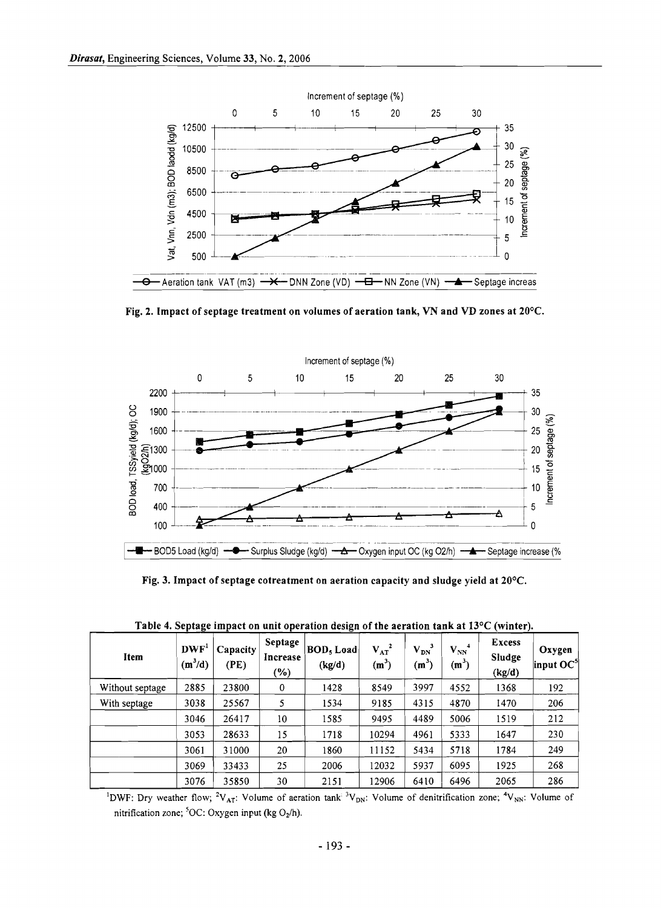

Fig. 2. Impact of septage treatment on volumes of aeration tank, VN and VD zones at 20°C.



Fig. 3. Impact of septage cotreatment on aeration capacity and sludge yield at 20°C.

| Item            | DWF <sup>1</sup><br>$(m^3/d)$ | Capacity<br>(PE) | Septage<br>Increase<br>$(\%)$ | <b>BOD</b> , Load<br>(kg/d) | $V_{AT}^2$<br>(m <sup>3</sup> ) | $\mathbf{V_{DN}}^3$<br>$(m^3)$ | $V_{NN}^4$<br>$(m^3)$ | Excess<br>Sludge<br>(kg/d) | Oxygen<br> input $OC^5$ |
|-----------------|-------------------------------|------------------|-------------------------------|-----------------------------|---------------------------------|--------------------------------|-----------------------|----------------------------|-------------------------|
| Without septage | 2885                          | 23800            | 0                             | 1428                        | 8549                            | 3997                           | 4552                  | 1368                       | 192                     |
| With septage    | 3038                          | 25567            | 5                             | 1534                        | 9185                            | 4315                           | 4870                  | 1470                       | 206                     |
|                 | 3046                          | 26417            | 10                            | 1585                        | 9495                            | 4489                           | 5006                  | 1519                       | 212                     |
|                 | 3053                          | 28633            | 15                            | 1718                        | 10294                           | 4961                           | 5333                  | 1647                       | 230                     |
|                 | 3061                          | 31000            | 20                            | 1860                        | 11152                           | 5434                           | 5718                  | 1784                       | 249                     |
|                 | 3069                          | 33433            | 25                            | 2006                        | 12032                           | 5937                           | 6095                  | 1925                       | 268                     |
|                 | 3076                          | 35850            | 30                            | 2151                        | 12906                           | 6410                           | 6496                  | 2065                       | 286                     |

Table 4. Septage impact on unit operation design of the aeration tank at  $13^{\circ}C$  (winter).

<sup>1</sup>DWF: Dry weather flow; <sup>2</sup>V<sub>AT</sub>: Volume of aeration tank<sup>: 3</sup>V<sub>DN</sub>: Volume of denitrification zone; <sup>4</sup>V<sub>NN</sub>: Volume of nitrification zone; 50C: Oxygen input (kg *Oz/h).*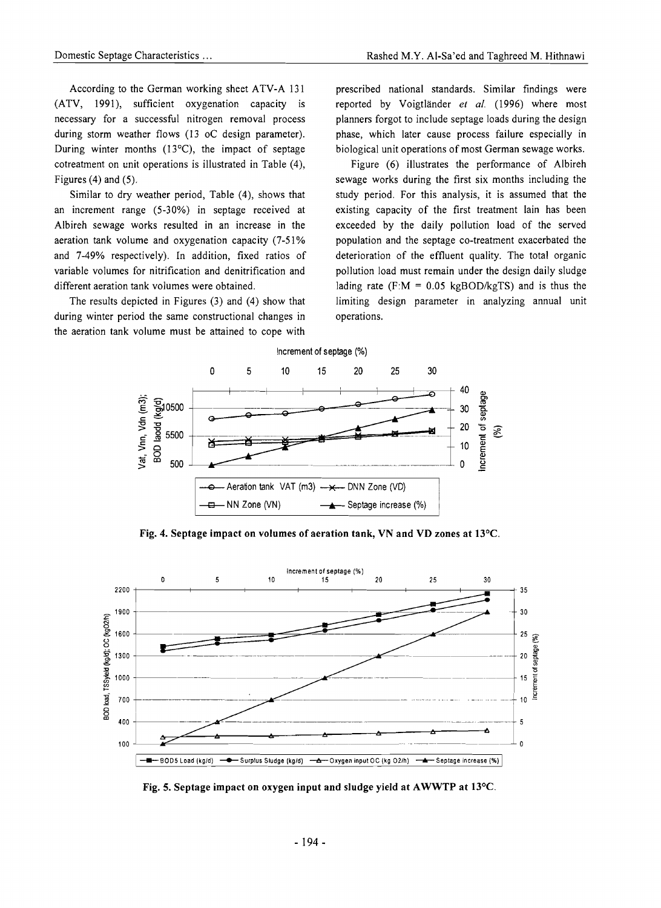(ATV, 1991), sufficient oxygenation capacity is reported by Voigtlander *et al.* (1996) where most necessary for a successful nitrogen removal process planners forgot to include septage loads during the design during storm weather flows (13 oC design parameter). phase, which later cause process failure especially in During winter months  $(13^{\circ}C)$ , the impact of septage biological unit operations of most German sewage works. cotreatment on unit operations is illustrated in Table (4), Figure (6) illustrates the performance of Albireh Figures (4) and (5). Sewage works during the first six months including the Figures (4) and (5).

an increment range (5-30%) in septage received at existing capacity of the first treatment lain has been Albireh sewage works resulted in an increase in the exceeded by the daily pollution load of the served aeration tank volume and oxygenation capacity  $(7-51\%$  population and the septage co-treatment exacerbated the and 7-49% respectively). In addition, fixed ratios of deterioration of the effluent quality. The total organic variable volumes for nitrification and denitrification and pollution load must remain under the design daily sludge different aeration tank volumes were obtained. lading rate  $(F:M = 0.05 \text{ kgBOD/kgTS})$  and is thus the

during winter period the same constructional changes in operations. the aeration tank volume must be attained to cope with

According to the German working sheet ATV-A 131 prescribed national standards. Similar findings were

Similar to dry weather period, Table (4), shows that study period. For this analysis, it is assumed that the The results depicted in Figures (3) and (4) show that limiting design parameter in analyzing annual unit



Fig. 4. Septage impact on volumes of aeration tank, VN and VD zones at  $13^{\circ}$ C.



Fig. 5. Septage impact on oxygen input and sludge yield at AWWTP at  $13^{\circ}$ C.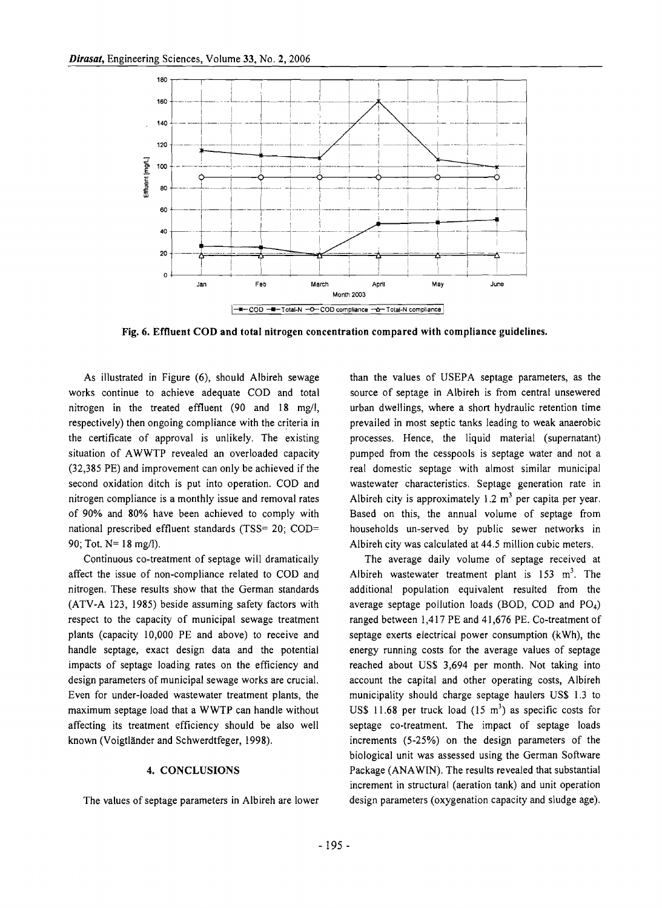

Fig. 6. Effluent COD and total nitrogen concentration compared with compliance guidelines.

As illustrated in Figure (6), should Albireh sewage works continue to achieve adequate COD and total nitrogen in the treated effluent  $(90 \text{ and } 18 \text{ mg/l})$ , respectively) then ongoing compliance with the criteria in the certificate of approval is unlikely. The existing situation of AWWTP revealed an overloaded capacity (32,385 PE) and improvement can only be achieved if the second oxidation ditch is put into operation. COD and nitrogen compliance is a monthly issue and removal rates of 90% and 80% have been achieved to comply with national prescribed effluent standards (TSS= 20; COD= 90; Tot. N= 18 mg/l).

Continuous co-treatment of septage will dramatically affect the issue of non-compliance related to COD and nitrogen. These results show that the German standards (ATV-A 123, 1985) beside assuming safety factors with respect to the capacity of municipal sewage treatment plants (capacity 10,000 PE and above) to receive and handle septage, exact design data and the potential impacts of septage loading rates on the efficiency and design parameters of municipal sewage works are crucial. Even for under-loaded wastewater treatment plants, the maximum septage load that a WWTP can handle without affecting its treatment efficiency should be also well known (Voigtlander and Schwerdtfeger, 1998).

#### 4. CONCLUSIONS

The values of septage parameters in Albireh are lower

than the values of USEPA septage parameters, as the source of septage in Albireh is from central unsewered urban dwellings, where a short hydraulic retention time prevailed in most septic tanks leading to weak anaerobic processes. Hence, the liquid material (supernatant) pumped from the cesspools is septage water and not a real domestic septage with almost similar municipal wastewater characteristics. Septage generation rate in Albireh city is approximately 1.2  $m<sup>3</sup>$  per capita per year. Based on this, the annual volume of septage from households un-served by public sewer networks in Albireh city was calculated at 44.5 million cubic meters.

The average daily volume of septage received at Albireh wastewater treatment plant is  $153 \text{ m}^3$ . The additional population equivalent resulted from the average septage pollution loads (BOD, COD and  $PO<sub>4</sub>$ ) ranged between 1,417 PE and 41,676 PE. Co-treatment of septage exerts electrical power consumption (kWh), the energy running costs for the average values of septage reached about US\$ 3,694 per month. Not taking into account the capital and other operating costs, Albireh municipality should charge septage haulers US\$ 1.3 to US\$ 11.68 per truck load  $(15 \text{ m}^3)$  as specific costs for septage co-treatment. The impact of septage loads increments (5-25%) on the design parameters of the biological unit was assessed using the German Software Package (ANAWIN). The results revealed that substantial increment in structural (aeration tank) and unit operation design parameters (oxygenation capacity and sludge age).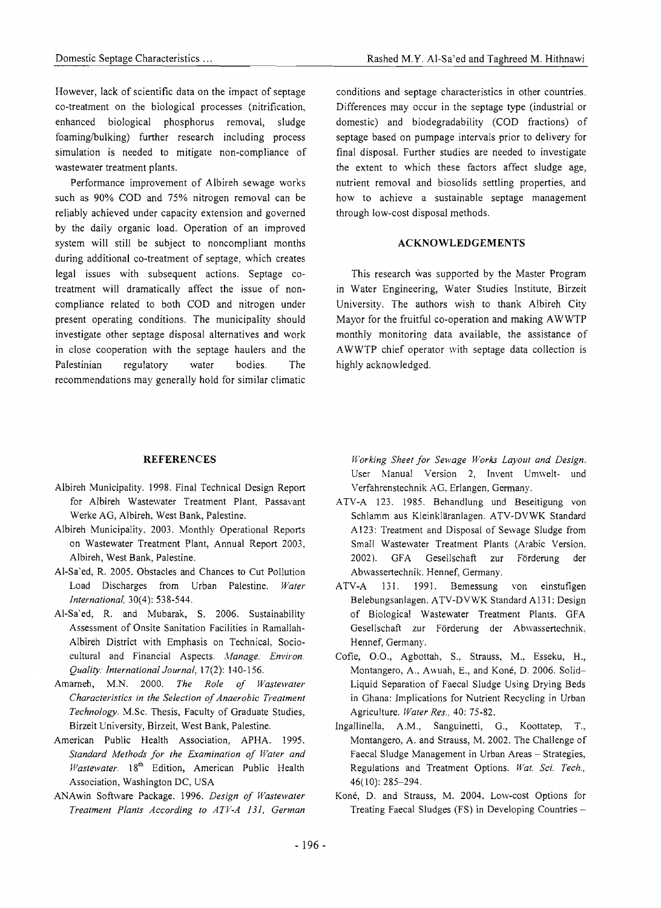However, lack of scientific data on the impact of septage co-treatment on the biological processes (nitrification, enhanced biological phosphorus removal, sludge foaming/bulking) further research including process simulation is needed to mitigate non-compliance of wastewater treatment plants.

Performance improvement of Albireh sewage works such as 90% COD and 75% nitrogen removal can be reliably achieved under capacity extension and governed by the daily organic load. Operation of an improved system will still be subject to noncompliant months during additional co-treatment of septage, which creates legal issues with subsequent actions. Septage cotreatment will dramatically affect the issue of noncompliance related to both COD and nitrogen under present operating conditions. The municipality should investigate other septage disposal alternatives and work in close cooperation with the septage haulers and the Palestinian regulatory water bodies. The recommendations may generally hold for similar climatic

#### **REFERENCES**

- Albireh Municipality. 1998. Final Technical Design Report for Albireh Wastewater Treatment Plant, Passavant Werke AG, Albireh, West Bank, Palestine.
- Albireh Municipality. 2003. Monthly Operational Reports on Wastewater Treatment Plant, Annual Report 2003, Albireh, West Bank, Palestine.
- AI-Sa'ed, R. 2005. Obstacles and Chances to Cut Pollution Load Discharges from Urban Palestine. *Water International,* 30(4): 538-544.
- Al-Sa'ed, R. and Mubarak, S. 2006. Sustainability Assessment of Onsite Sanitation Facilities in Ramallah-Albireh District with Emphasis on Technical, Sociocultural and Financial Aspects. *Manage. Environ. Quality: International Journal,* 17(2): 140-156.
- Amameh, M.N. 2000. *The Role of Wastewater Characteristics in the Selection of Anaerobic Treatment Technology.* M.Sc. Thesis, Faculty of Graduate Studies, Birzeit University, Birzeit, West Bank, Palestine.
- American Public Health Association, APHA. 1995. *Standard Methods for the Examination of Water and Wastewater.* 18<sup>th</sup> Edition, American Public Health Association, Washington DC, USA
- ANAwin Software Package. 1996. *Design of IVastewater Treatment Plants According to ATV-A 131, German*

conditions and septage characteristics in other countries. Differences may occur in the septage type (industrial or domestic) and biodegradability (COD fractions) of septage based on pumpage intervals prior to delivery for final disposal. Further studies are needed to investigate the extent to which these factors affect sludge age, nutrient removal and biosolids settling properties, and how to achieve a sustainable septage management through low-cost disposal methods.

#### **ACKNOWLEDGEMENTS**

This research was supported by the Master Program in Water Engineering, Water Studies Institute, Birzeit University. The authors wish to thank Albireh City Mayor for the fruitful co-operation and making AWWTP monthly monitoring data available, the assistance of AWWTP chief operator with septage data collection is highly acknowledged.

*Working Sheet for Sewage Works Layout and Design.*  User Manual Version 2, Invent Umwelt- und Verfahrenstechnik AG. Erlangen, Germany.

- ATV-A 123. 1985. Behandlung und Beseitigung von Schlamm aus Kleinklaranlagen. ATV-DVWK Standard A123: Treatment and Disposal of Sewage Sludge from Small Wastewater Treatment Plants (Arabic Version, 2002). GFA Gesellschaft zur Forderung der Abwassertechnik. Hennef, Germany.
- ATV-A 131. 1991. Bemessung von einstufigen Belebungsanlagen. ATV-DVWK Standard A131: Design of Biological Wastewater Treatment Plants. GFA Gesellschaft zur Forderung der Abwassertechnik, Hennef, Germany.
- Cofie, 0.0., Agbottah, S., Strauss, M., Esseku, B., Montangero, A., Awuah, E., and Koné, D. 2006. Solid-Liquid Separation of Faecal Sludge Using Drying Beds in Ghana: Implications for Nutrient Recycling in Urban Agriculture. *Water Res.,* 40: 75-82.
- Ingallinella, A.M., Sanguinetti, G., Koottatep, T., Montangero, A. and Strauss, M. 2002. The Challenge of Faecal Sludge Management in Urban Areas - Strategies, Regulations and Treatment Options. *Wat. Sci. Tech.,*  46(10): 285-294.
- Koné, D. and Strauss, M. 2004. Low-cost Options for Treating Faecal Sludges (FS) in Developing Countries